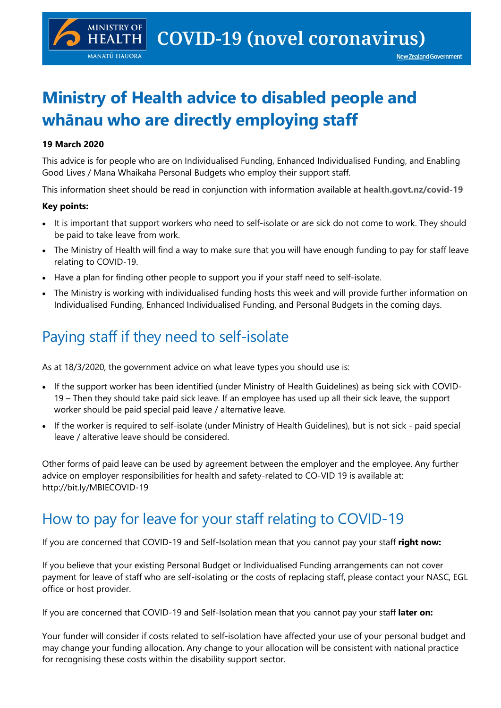# **Ministry of Health advice to disabled people and whānau who are directly employing staff**

#### **19 March 2020**

**MINISTRY OF** 

**HEALTH MANATŪ HAUORA** 

This advice is for people who are on Individualised Funding, Enhanced Individualised Funding, and Enabling Good Lives / Mana Whaikaha Personal Budgets who employ their support staff.

This information sheet should be read in conjunction with information available at **health.govt.nz/covid-19**

#### **Key points:**

- It is important that support workers who need to self-isolate or are sick do not come to work. They should be paid to take leave from work.
- The Ministry of Health will find a way to make sure that you will have enough funding to pay for staff leave relating to COVID-19.
- Have a plan for finding other people to support you if your staff need to self-isolate.
- The Ministry is working with individualised funding hosts this week and will provide further information on Individualised Funding, Enhanced Individualised Funding, and Personal Budgets in the coming days.

## Paying staff if they need to self-isolate

As at 18/3/2020, the government advice on what leave types you should use is:

- If the support worker has been identified (under Ministry of Health Guidelines) as being sick with COVID-19 – Then they should take paid sick leave. If an employee has used up all their sick leave, the support worker should be paid special paid leave / alternative leave.
- If the worker is required to self-isolate (under Ministry of Health Guidelines), but is not sick paid special leave / alterative leave should be considered.

Other forms of paid leave can be used by agreement between the employer and the employee. Any further advice on employer responsibilities for health and safety-related to CO-VID 19 is available at: http://bit.ly/MBIECOVID-19

### How to pay for leave for your staff relating to COVID-19

If you are concerned that COVID-19 and Self-Isolation mean that you cannot pay your staff **right now:**

If you believe that your existing Personal Budget or Individualised Funding arrangements can not cover payment for leave of staff who are self-isolating or the costs of replacing staff, please contact your NASC, EGL office or host provider.

If you are concerned that COVID-19 and Self-Isolation mean that you cannot pay your staff **later on:**

Your funder will consider if costs related to self-isolation have affected your use of your personal budget and may change your funding allocation. Any change to your allocation will be consistent with national practice for recognising these costs within the disability support sector.